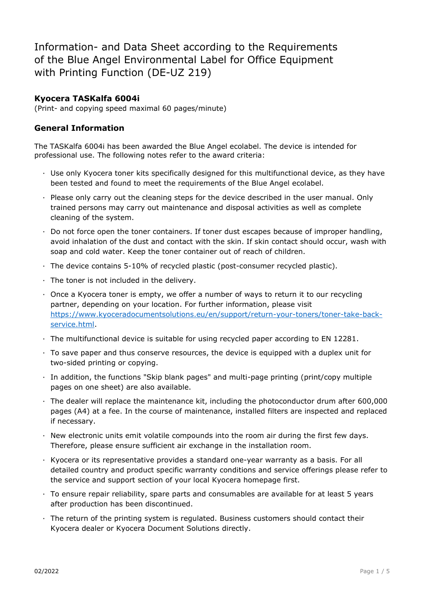Information- and Data Sheet according to the Requirements of the Blue Angel Environmental Label for Office Equipment with Printing Function (DE-UZ 219)

### **Kyocera TASKalfa 6004i**

(Print- and copying speed maximal 60 pages/minute)

#### **General Information**

The TASKalfa 6004i has been awarded the Blue Angel ecolabel. The device is intended for professional use. The following notes refer to the award criteria:

- · Use only Kyocera toner kits specifically designed for this multifunctional device, as they have been tested and found to meet the requirements of the Blue Angel ecolabel.
- · Please only carry out the cleaning steps for the device described in the user manual. Only trained persons may carry out maintenance and disposal activities as well as complete cleaning of the system.
- $\cdot$  Do not force open the toner containers. If toner dust escapes because of improper handling, avoid inhalation of the dust and contact with the skin. If skin contact should occur, wash with soap and cold water. Keep the toner container out of reach of children.
- · The device contains 5-10% of recycled plastic (post-consumer recycled plastic).
- · The toner is not included in the delivery.
- · Once a Kyocera toner is empty, we offer a number of ways to return it to our recycling partner, depending on your location. For further information, please visit [https://www.kyoceradocumentsolutions.eu/en/support/return-your-toners/toner-take-back](https://www.kyoceradocumentsolutions.eu/en/support/return-your-toners/toner-take-back-service.html)[service.html.](https://www.kyoceradocumentsolutions.eu/en/support/return-your-toners/toner-take-back-service.html)
- · The multifunctional device is suitable for using recycled paper according to EN 12281.
- · To save paper and thus conserve resources, the device is equipped with a duplex unit for two-sided printing or copying.
- · In addition, the functions "Skip blank pages" and multi-page printing (print/copy multiple pages on one sheet) are also available.
- · The dealer will replace the maintenance kit, including the photoconductor drum after 600,000 pages (A4) at a fee. In the course of maintenance, installed filters are inspected and replaced if necessary.
- · New electronic units emit volatile compounds into the room air during the first few days. Therefore, please ensure sufficient air exchange in the installation room.
- · Kyocera or its representative provides a standard one-year warranty as a basis. For all detailed country and product specific warranty conditions and service offerings please refer to the service and support section of your local Kyocera homepage first.
- · To ensure repair reliability, spare parts and consumables are available for at least 5 years after production has been discontinued.
- · The return of the printing system is regulated. Business customers should contact their Kyocera dealer or Kyocera Document Solutions directly.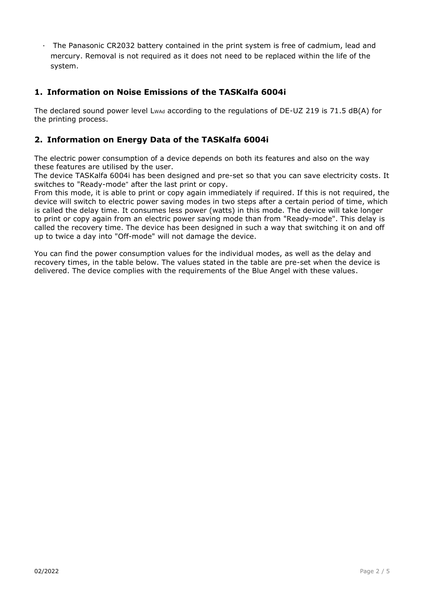· The Panasonic CR2032 battery contained in the print system is free of cadmium, lead and mercury. Removal is not required as it does not need to be replaced within the life of the system.

# **1. Information on Noise Emissions of the TASKalfa 6004i**

The declared sound power level L<sub>WAd</sub> according to the regulations of DE-UZ 219 is 71.5 dB(A) for the printing process.

## **2. Information on Energy Data of the TASKalfa 6004i**

The electric power consumption of a device depends on both its features and also on the way these features are utilised by the user.

The device TASKalfa 6004i has been designed and pre-set so that you can save electricity costs. It switches to "Ready-mode" after the last print or copy.

From this mode, it is able to print or copy again immediately if required. If this is not required, the device will switch to electric power saving modes in two steps after a certain period of time, which is called the delay time. It consumes less power (watts) in this mode. The device will take longer to print or copy again from an electric power saving mode than from "Ready-mode". This delay is called the recovery time. The device has been designed in such a way that switching it on and off up to twice a day into "Off-mode" will not damage the device.

You can find the power consumption values for the individual modes, as well as the delay and recovery times, in the table below. The values stated in the table are pre-set when the device is delivered. The device complies with the requirements of the Blue Angel with these values.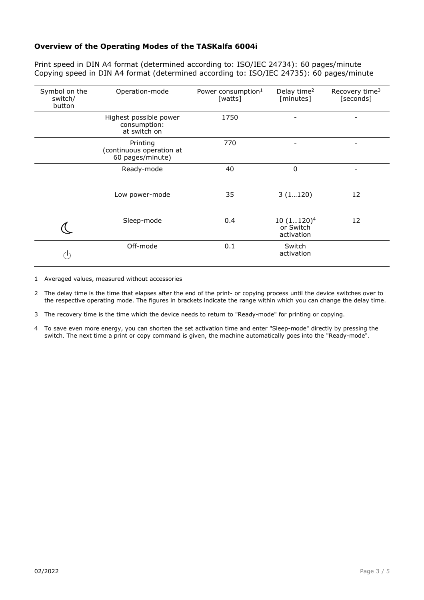#### **Overview of the Operating Modes of the TASKalfa 6004i**

Print speed in DIN A4 format (determined according to: ISO/IEC 24734): 60 pages/minute Copying speed in DIN A4 format (determined according to: ISO/IEC 24735): 60 pages/minute

| Symbol on the<br>switch/<br>button | Operation-mode                                           | Power consumption <sup>1</sup><br>[watts] | Delay time <sup>2</sup><br>[minutes]    | Recovery time <sup>3</sup><br>[seconds] |
|------------------------------------|----------------------------------------------------------|-------------------------------------------|-----------------------------------------|-----------------------------------------|
|                                    | Highest possible power<br>consumption:<br>at switch on   | 1750                                      |                                         |                                         |
|                                    | Printing<br>(continuous operation at<br>60 pages/minute) | 770                                       | -                                       |                                         |
|                                    | Ready-mode                                               | 40                                        | 0                                       |                                         |
|                                    | Low power-mode                                           | 35                                        | 3(1120)                                 | 12                                      |
|                                    | Sleep-mode                                               | 0.4                                       | $10(1120)^4$<br>or Switch<br>activation | 12                                      |
|                                    | Off-mode                                                 | 0.1                                       | Switch<br>activation                    |                                         |

1 Averaged values, measured without accessories

2 The delay time is the time that elapses after the end of the print- or copying process until the device switches over to the respective operating mode. The figures in brackets indicate the range within which you can change the delay time.

3 The recovery time is the time which the device needs to return to "Ready-mode" for printing or copying.

4 To save even more energy, you can shorten the set activation time and enter "Sleep-mode" directly by pressing the switch. The next time a print or copy command is given, the machine automatically goes into the "Ready-mode".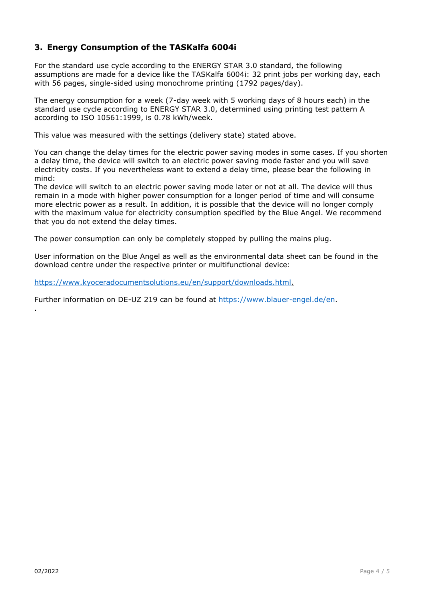# **3. Energy Consumption of the TASKalfa 6004i**

For the standard use cycle according to the ENERGY STAR 3.0 standard, the following assumptions are made for a device like the TASKalfa 6004i: 32 print jobs per working day, each with 56 pages, single-sided using monochrome printing (1792 pages/day).

The energy consumption for a week (7-day week with 5 working days of 8 hours each) in the standard use cycle according to ENERGY STAR 3.0, determined using printing test pattern A according to ISO 10561:1999, is 0.78 kWh/week.

This value was measured with the settings (delivery state) stated above.

You can change the delay times for the electric power saving modes in some cases. If you shorten a delay time, the device will switch to an electric power saving mode faster and you will save electricity costs. If you nevertheless want to extend a delay time, please bear the following in mind:

The device will switch to an electric power saving mode later or not at all. The device will thus remain in a mode with higher power consumption for a longer period of time and will consume more electric power as a result. In addition, it is possible that the device will no longer comply with the maximum value for electricity consumption specified by the Blue Angel. We recommend that you do not extend the delay times.

The power consumption can only be completely stopped by pulling the mains plug.

User information on the Blue Angel as well as the environmental data sheet can be found in the download centre under the respective printer or multifunctional device:

[https://www.kyoceradocumentsolutions.eu/en/support/downloads.html.](https://www.kyoceradocumentsolutions.eu/en/support/downloads.html)

Further information on DE-UZ 219 can be found at [https://www.blauer-engel.de/en.](https://www.blauer-engel.de/en)

.